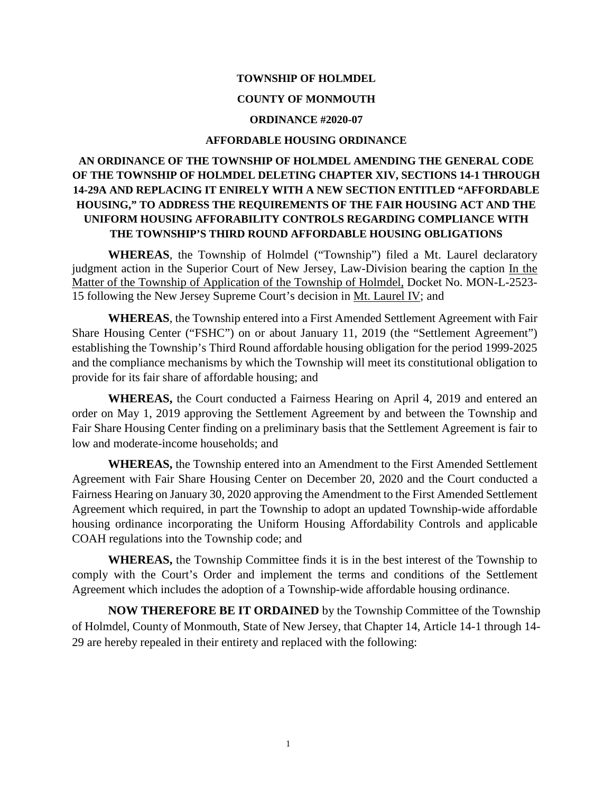### **TOWNSHIP OF HOLMDEL**

### **COUNTY OF MONMOUTH**

#### **ORDINANCE #2020-07**

#### **AFFORDABLE HOUSING ORDINANCE**

# **AN ORDINANCE OF THE TOWNSHIP OF HOLMDEL AMENDING THE GENERAL CODE OF THE TOWNSHIP OF HOLMDEL DELETING CHAPTER XIV, SECTIONS 14-1 THROUGH 14-29A AND REPLACING IT ENIRELY WITH A NEW SECTION ENTITLED "AFFORDABLE HOUSING," TO ADDRESS THE REQUIREMENTS OF THE FAIR HOUSING ACT AND THE UNIFORM HOUSING AFFORABILITY CONTROLS REGARDING COMPLIANCE WITH THE TOWNSHIP'S THIRD ROUND AFFORDABLE HOUSING OBLIGATIONS**

**WHEREAS**, the Township of Holmdel ("Township") filed a Mt. Laurel declaratory judgment action in the Superior Court of New Jersey, Law-Division bearing the caption In the Matter of the Township of Application of the Township of Holmdel, Docket No. MON-L-2523- 15 following the New Jersey Supreme Court's decision in Mt. Laurel IV; and

**WHEREAS**, the Township entered into a First Amended Settlement Agreement with Fair Share Housing Center ("FSHC") on or about January 11, 2019 (the "Settlement Agreement") establishing the Township's Third Round affordable housing obligation for the period 1999-2025 and the compliance mechanisms by which the Township will meet its constitutional obligation to provide for its fair share of affordable housing; and

**WHEREAS,** the Court conducted a Fairness Hearing on April 4, 2019 and entered an order on May 1, 2019 approving the Settlement Agreement by and between the Township and Fair Share Housing Center finding on a preliminary basis that the Settlement Agreement is fair to low and moderate-income households; and

**WHEREAS,** the Township entered into an Amendment to the First Amended Settlement Agreement with Fair Share Housing Center on December 20, 2020 and the Court conducted a Fairness Hearing on January 30, 2020 approving the Amendment to the First Amended Settlement Agreement which required, in part the Township to adopt an updated Township-wide affordable housing ordinance incorporating the Uniform Housing Affordability Controls and applicable COAH regulations into the Township code; and

**WHEREAS,** the Township Committee finds it is in the best interest of the Township to comply with the Court's Order and implement the terms and conditions of the Settlement Agreement which includes the adoption of a Township-wide affordable housing ordinance.

**NOW THEREFORE BE IT ORDAINED** by the Township Committee of the Township of Holmdel, County of Monmouth, State of New Jersey, that Chapter 14, Article 14-1 through 14- 29 are hereby repealed in their entirety and replaced with the following: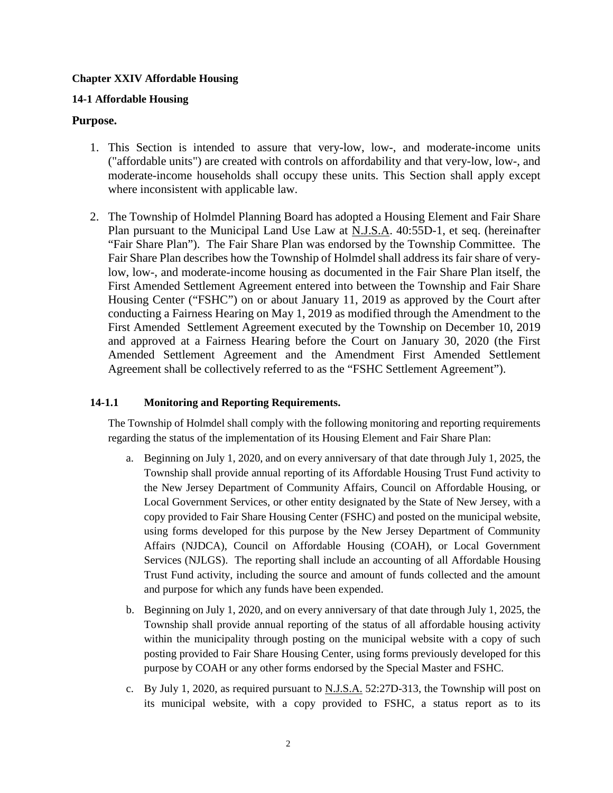### **Chapter XXIV Affordable Housing**

## **14-1 Affordable Housing**

### **Purpose.**

- 1. This Section is intended to assure that very-low, low-, and moderate-income units ("affordable units") are created with controls on affordability and that very-low, low-, and moderate-income households shall occupy these units. This Section shall apply except where inconsistent with applicable law.
- 2. The Township of Holmdel Planning Board has adopted a Housing Element and Fair Share Plan pursuant to the Municipal Land Use Law at N.J.S.A. 40:55D-1, et seq. (hereinafter "Fair Share Plan"). The Fair Share Plan was endorsed by the Township Committee. The Fair Share Plan describes how the Township of Holmdel shall address its fair share of verylow, low-, and moderate-income housing as documented in the Fair Share Plan itself, the First Amended Settlement Agreement entered into between the Township and Fair Share Housing Center ("FSHC") on or about January 11, 2019 as approved by the Court after conducting a Fairness Hearing on May 1, 2019 as modified through the Amendment to the First Amended Settlement Agreement executed by the Township on December 10, 2019 and approved at a Fairness Hearing before the Court on January 30, 2020 (the First Amended Settlement Agreement and the Amendment First Amended Settlement Agreement shall be collectively referred to as the "FSHC Settlement Agreement").

### **14-1.1 Monitoring and Reporting Requirements.**

The Township of Holmdel shall comply with the following monitoring and reporting requirements regarding the status of the implementation of its Housing Element and Fair Share Plan:

- a. Beginning on July 1, 2020, and on every anniversary of that date through July 1, 2025, the Township shall provide annual reporting of its Affordable Housing Trust Fund activity to the New Jersey Department of Community Affairs, Council on Affordable Housing, or Local Government Services, or other entity designated by the State of New Jersey, with a copy provided to Fair Share Housing Center (FSHC) and posted on the municipal website, using forms developed for this purpose by the New Jersey Department of Community Affairs (NJDCA), Council on Affordable Housing (COAH), or Local Government Services (NJLGS). The reporting shall include an accounting of all Affordable Housing Trust Fund activity, including the source and amount of funds collected and the amount and purpose for which any funds have been expended.
- b. Beginning on July 1, 2020, and on every anniversary of that date through July 1, 2025, the Township shall provide annual reporting of the status of all affordable housing activity within the municipality through posting on the municipal website with a copy of such posting provided to Fair Share Housing Center, using forms previously developed for this purpose by COAH or any other forms endorsed by the Special Master and FSHC.
- c. By July 1, 2020, as required pursuant to N.J.S.A. 52:27D-313, the Township will post on its municipal website, with a copy provided to FSHC, a status report as to its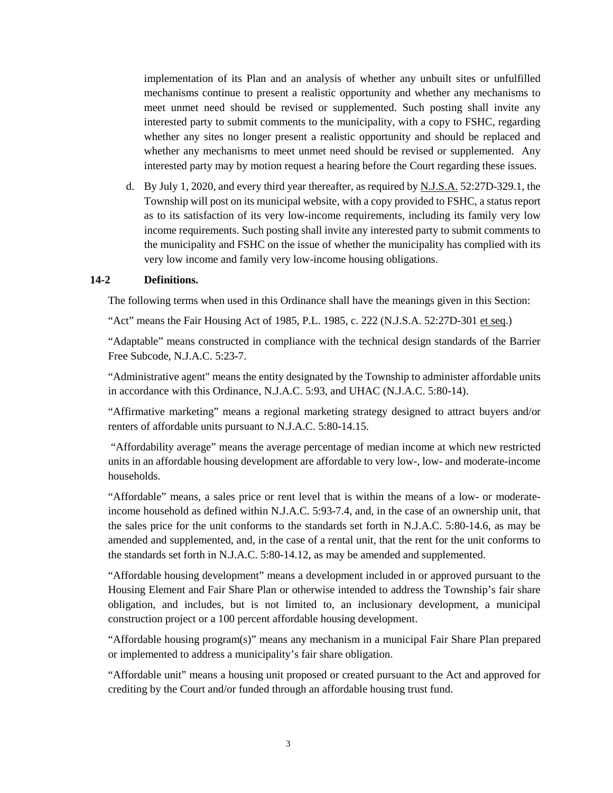implementation of its Plan and an analysis of whether any unbuilt sites or unfulfilled mechanisms continue to present a realistic opportunity and whether any mechanisms to meet unmet need should be revised or supplemented. Such posting shall invite any interested party to submit comments to the municipality, with a copy to FSHC, regarding whether any sites no longer present a realistic opportunity and should be replaced and whether any mechanisms to meet unmet need should be revised or supplemented. Any interested party may by motion request a hearing before the Court regarding these issues.

d. By July 1, 2020, and every third year thereafter, as required by N.J.S.A. 52:27D-329.1, the Township will post on its municipal website, with a copy provided to FSHC, a status report as to its satisfaction of its very low-income requirements, including its family very low income requirements. Such posting shall invite any interested party to submit comments to the municipality and FSHC on the issue of whether the municipality has complied with its very low income and family very low-income housing obligations.

### **14-2 Definitions.**

The following terms when used in this Ordinance shall have the meanings given in this Section:

"Act" means the Fair Housing Act of 1985, P.L. 1985, c. 222 (N.J.S.A. 52:27D-301 et seq.)

"Adaptable" means constructed in compliance with the technical design standards of the Barrier Free Subcode, N.J.A.C. 5:23-7.

"Administrative agent" means the entity designated by the Township to administer affordable units in accordance with this Ordinance, N.J.A.C. 5:93, and UHAC (N.J.A.C. 5:80-14).

"Affirmative marketing" means a regional marketing strategy designed to attract buyers and/or renters of affordable units pursuant to N.J.A.C. 5:80-14.15.

"Affordability average" means the average percentage of median income at which new restricted units in an affordable housing development are affordable to very low-, low- and moderate-income households.

"Affordable" means, a sales price or rent level that is within the means of a low- or moderateincome household as defined within N.J.A.C. 5:93-7.4, and, in the case of an ownership unit, that the sales price for the unit conforms to the standards set forth in N.J.A.C. 5:80-14.6, as may be amended and supplemented, and, in the case of a rental unit, that the rent for the unit conforms to the standards set forth in N.J.A.C. 5:80-14.12, as may be amended and supplemented.

"Affordable housing development" means a development included in or approved pursuant to the Housing Element and Fair Share Plan or otherwise intended to address the Township's fair share obligation, and includes, but is not limited to, an inclusionary development, a municipal construction project or a 100 percent affordable housing development.

"Affordable housing program(s)" means any mechanism in a municipal Fair Share Plan prepared or implemented to address a municipality's fair share obligation.

"Affordable unit" means a housing unit proposed or created pursuant to the Act and approved for crediting by the Court and/or funded through an affordable housing trust fund.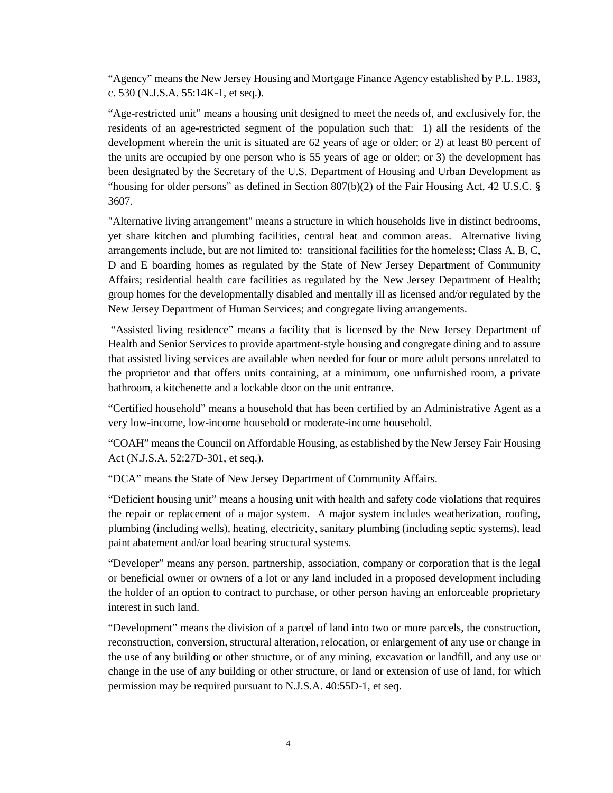"Agency" means the New Jersey Housing and Mortgage Finance Agency established by P.L. 1983, c. 530 (N.J.S.A. 55:14K-1, et seq.).

"Age-restricted unit" means a housing unit designed to meet the needs of, and exclusively for, the residents of an age-restricted segment of the population such that: 1) all the residents of the development wherein the unit is situated are 62 years of age or older; or 2) at least 80 percent of the units are occupied by one person who is 55 years of age or older; or 3) the development has been designated by the Secretary of the U.S. Department of Housing and Urban Development as "housing for older persons" as defined in Section 807(b)(2) of the Fair Housing Act, 42 U.S.C. § 3607.

"Alternative living arrangement" means a structure in which households live in distinct bedrooms, yet share kitchen and plumbing facilities, central heat and common areas. Alternative living arrangements include, but are not limited to: transitional facilities for the homeless; Class A, B, C, D and E boarding homes as regulated by the State of New Jersey Department of Community Affairs; residential health care facilities as regulated by the New Jersey Department of Health; group homes for the developmentally disabled and mentally ill as licensed and/or regulated by the New Jersey Department of Human Services; and congregate living arrangements.

"Assisted living residence" means a facility that is licensed by the New Jersey Department of Health and Senior Services to provide apartment-style housing and congregate dining and to assure that assisted living services are available when needed for four or more adult persons unrelated to the proprietor and that offers units containing, at a minimum, one unfurnished room, a private bathroom, a kitchenette and a lockable door on the unit entrance.

"Certified household" means a household that has been certified by an Administrative Agent as a very low-income, low-income household or moderate-income household.

"COAH" means the Council on Affordable Housing, as established by the New Jersey Fair Housing Act (N.J.S.A. 52:27D-301, et seq.).

"DCA" means the State of New Jersey Department of Community Affairs.

"Deficient housing unit" means a housing unit with health and safety code violations that requires the repair or replacement of a major system. A major system includes weatherization, roofing, plumbing (including wells), heating, electricity, sanitary plumbing (including septic systems), lead paint abatement and/or load bearing structural systems.

"Developer" means any person, partnership, association, company or corporation that is the legal or beneficial owner or owners of a lot or any land included in a proposed development including the holder of an option to contract to purchase, or other person having an enforceable proprietary interest in such land.

"Development" means the division of a parcel of land into two or more parcels, the construction, reconstruction, conversion, structural alteration, relocation, or enlargement of any use or change in the use of any building or other structure, or of any mining, excavation or landfill, and any use or change in the use of any building or other structure, or land or extension of use of land, for which permission may be required pursuant to N.J.S.A. 40:55D-1, et seq.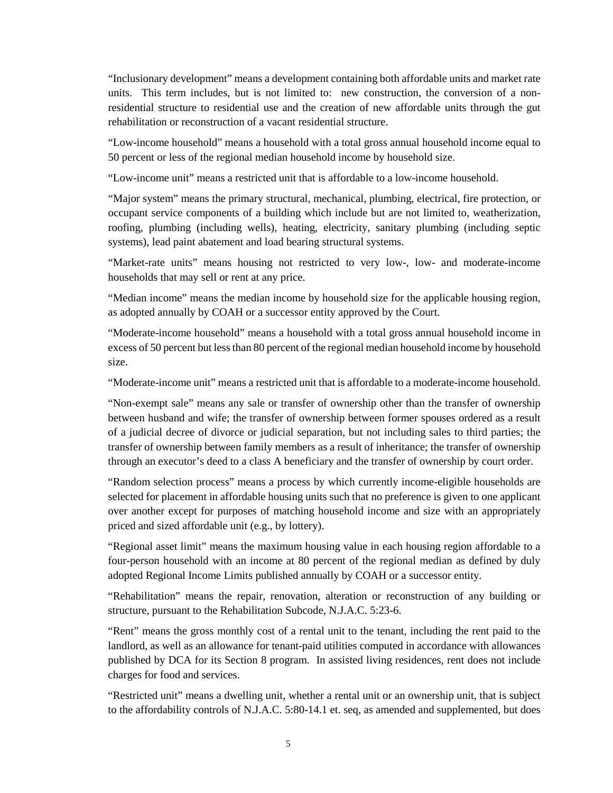"Inclusionary development" means a development containing both affordable units and market rate units. This term includes, but is not limited to: new construction, the conversion of a nonresidential structure to residential use and the creation of new affordable units through the gut rehabilitation or reconstruction of a vacant residential structure.

"Low-income household" means a household with a total gross annual household income equal to 50 percent or less of the regional median household income by household size.

"Low-income unit" means a restricted unit that is affordable to a low-income household.

"Major system" means the primary structural, mechanical, plumbing, electrical, fire protection, or occupant service components of a building which include but are not limited to, weatherization, roofing, plumbing (including wells), heating, electricity, sanitary plumbing (including septic systems), lead paint abatement and load bearing structural systems.

"Market-rate units" means housing not restricted to very low-, low- and moderate-income households that may sell or rent at any price.

"Median income" means the median income by household size for the applicable housing region, as adopted annually by COAH or a successor entity approved by the Court.

"Moderate-income household" means a household with a total gross annual household income in excess of 50 percent but less than 80 percent of the regional median household income by household size.

"Moderate-income unit" means a restricted unit that is affordable to a moderate-income household.

"Non-exempt sale" means any sale or transfer of ownership other than the transfer of ownership between husband and wife; the transfer of ownership between former spouses ordered as a result of a judicial decree of divorce or judicial separation, but not including sales to third parties; the transfer of ownership between family members as a result of inheritance; the transfer of ownership through an executor's deed to a class A beneficiary and the transfer of ownership by court order.

"Random selection process" means a process by which currently income-eligible households are selected for placement in affordable housing units such that no preference is given to one applicant over another except for purposes of matching household income and size with an appropriately priced and sized affordable unit (e.g., by lottery).

"Regional asset limit" means the maximum housing value in each housing region affordable to a four-person household with an income at 80 percent of the regional median as defined by duly adopted Regional Income Limits published annually by COAH or a successor entity.

"Rehabilitation" means the repair, renovation, alteration or reconstruction of any building or structure, pursuant to the Rehabilitation Subcode, N.J.A.C. 5:23-6.

"Rent" means the gross monthly cost of a rental unit to the tenant, including the rent paid to the landlord, as well as an allowance for tenant-paid utilities computed in accordance with allowances published by DCA for its Section 8 program. In assisted living residences, rent does not include charges for food and services.

"Restricted unit" means a dwelling unit, whether a rental unit or an ownership unit, that is subject to the affordability controls of N.J.A.C. 5:80-14.1 et. seq, as amended and supplemented, but does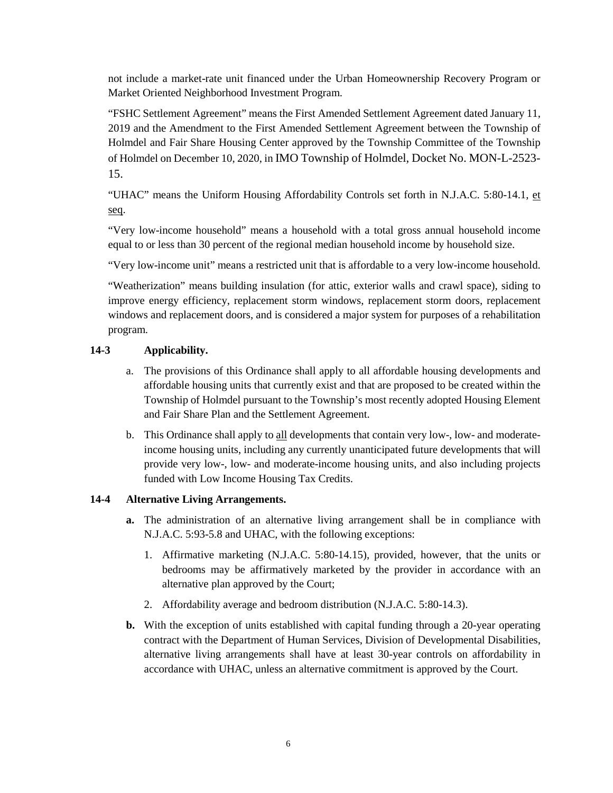not include a market-rate unit financed under the Urban Homeownership Recovery Program or Market Oriented Neighborhood Investment Program.

"FSHC Settlement Agreement" means the First Amended Settlement Agreement dated January 11, 2019 and the Amendment to the First Amended Settlement Agreement between the Township of Holmdel and Fair Share Housing Center approved by the Township Committee of the Township of Holmdel on December 10, 2020, in IMO Township of Holmdel, Docket No. MON-L-2523- 15.

"UHAC" means the Uniform Housing Affordability Controls set forth in N.J.A.C. 5:80-14.1, et seq.

"Very low-income household" means a household with a total gross annual household income equal to or less than 30 percent of the regional median household income by household size.

"Very low-income unit" means a restricted unit that is affordable to a very low-income household.

"Weatherization" means building insulation (for attic, exterior walls and crawl space), siding to improve energy efficiency, replacement storm windows, replacement storm doors, replacement windows and replacement doors, and is considered a major system for purposes of a rehabilitation program.

## **14-3 Applicability.**

- a. The provisions of this Ordinance shall apply to all affordable housing developments and affordable housing units that currently exist and that are proposed to be created within the Township of Holmdel pursuant to the Township's most recently adopted Housing Element and Fair Share Plan and the Settlement Agreement.
- b. This Ordinance shall apply to all developments that contain very low-, low- and moderateincome housing units, including any currently unanticipated future developments that will provide very low-, low- and moderate-income housing units, and also including projects funded with Low Income Housing Tax Credits.

## **14-4 Alternative Living Arrangements.**

- **a.** The administration of an alternative living arrangement shall be in compliance with N.J.A.C. 5:93-5.8 and UHAC, with the following exceptions:
	- 1. Affirmative marketing (N.J.A.C. 5:80-14.15), provided, however, that the units or bedrooms may be affirmatively marketed by the provider in accordance with an alternative plan approved by the Court;
	- 2. Affordability average and bedroom distribution (N.J.A.C. 5:80-14.3).
- **b.** With the exception of units established with capital funding through a 20-year operating contract with the Department of Human Services, Division of Developmental Disabilities, alternative living arrangements shall have at least 30-year controls on affordability in accordance with UHAC, unless an alternative commitment is approved by the Court.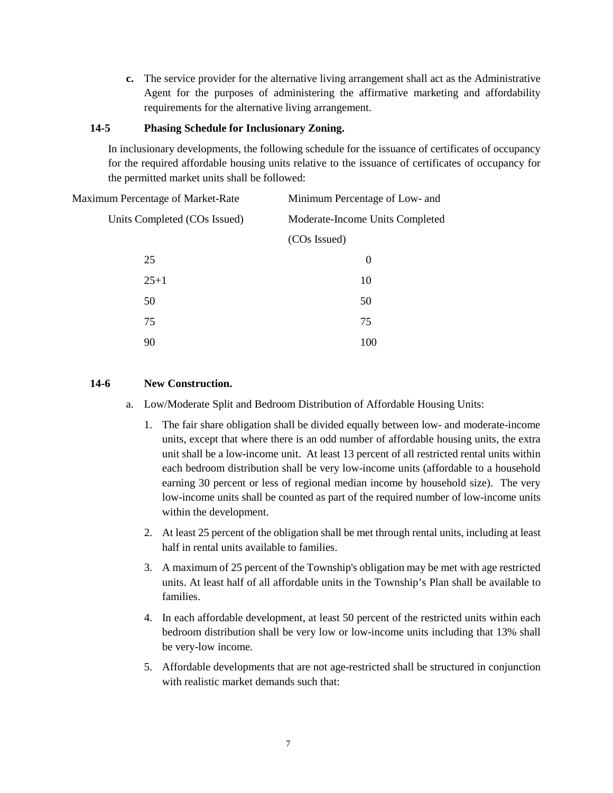**c.** The service provider for the alternative living arrangement shall act as the Administrative Agent for the purposes of administering the affirmative marketing and affordability requirements for the alternative living arrangement.

### **14-5 Phasing Schedule for Inclusionary Zoning.**

In inclusionary developments, the following schedule for the issuance of certificates of occupancy for the required affordable housing units relative to the issuance of certificates of occupancy for the permitted market units shall be followed:

| Maximum Percentage of Market-Rate | Minimum Percentage of Low- and  |
|-----------------------------------|---------------------------------|
| Units Completed (COs Issued)      | Moderate-Income Units Completed |
|                                   | (COs Issued)                    |
| 25                                | $\theta$                        |
| $25+1$                            | 10                              |
| 50                                | 50                              |
| 75                                | 75                              |
| 90                                | 100                             |
|                                   |                                 |

### **14-6 New Construction.**

- a. Low/Moderate Split and Bedroom Distribution of Affordable Housing Units:
	- 1. The fair share obligation shall be divided equally between low- and moderate-income units, except that where there is an odd number of affordable housing units, the extra unit shall be a low-income unit. At least 13 percent of all restricted rental units within each bedroom distribution shall be very low-income units (affordable to a household earning 30 percent or less of regional median income by household size). The very low-income units shall be counted as part of the required number of low-income units within the development.
	- 2. At least 25 percent of the obligation shall be met through rental units, including at least half in rental units available to families.
	- 3. A maximum of 25 percent of the Township's obligation may be met with age restricted units. At least half of all affordable units in the Township's Plan shall be available to families.
	- 4. In each affordable development, at least 50 percent of the restricted units within each bedroom distribution shall be very low or low-income units including that 13% shall be very-low income.
	- 5. Affordable developments that are not age-restricted shall be structured in conjunction with realistic market demands such that: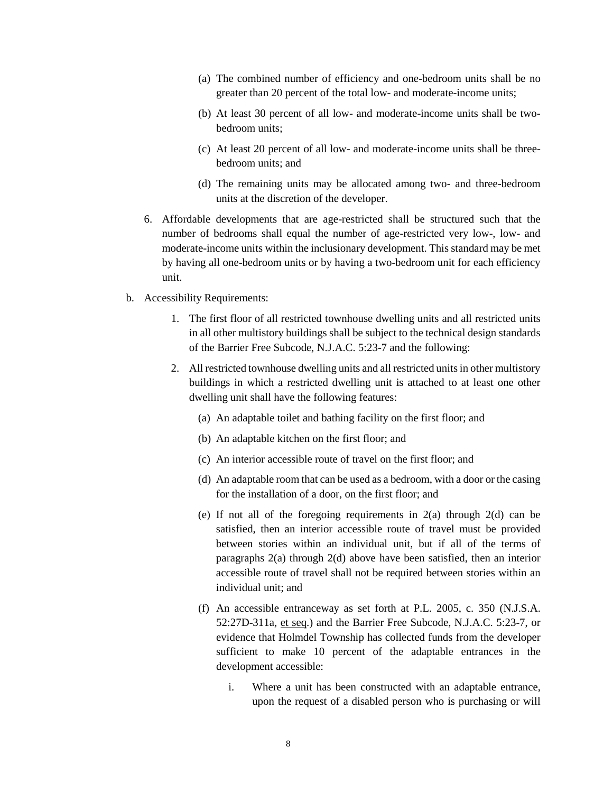- (a) The combined number of efficiency and one-bedroom units shall be no greater than 20 percent of the total low- and moderate-income units;
- (b) At least 30 percent of all low- and moderate-income units shall be twobedroom units;
- (c) At least 20 percent of all low- and moderate-income units shall be threebedroom units; and
- (d) The remaining units may be allocated among two- and three-bedroom units at the discretion of the developer.
- 6. Affordable developments that are age-restricted shall be structured such that the number of bedrooms shall equal the number of age-restricted very low-, low- and moderate-income units within the inclusionary development. This standard may be met by having all one-bedroom units or by having a two-bedroom unit for each efficiency unit.
- b. Accessibility Requirements:
	- 1. The first floor of all restricted townhouse dwelling units and all restricted units in all other multistory buildings shall be subject to the technical design standards of the Barrier Free Subcode, N.J.A.C. 5:23-7 and the following:
	- 2. All restricted townhouse dwelling units and all restricted units in other multistory buildings in which a restricted dwelling unit is attached to at least one other dwelling unit shall have the following features:
		- (a) An adaptable toilet and bathing facility on the first floor; and
		- (b) An adaptable kitchen on the first floor; and
		- (c) An interior accessible route of travel on the first floor; and
		- (d) An adaptable room that can be used as a bedroom, with a door or the casing for the installation of a door, on the first floor; and
		- (e) If not all of the foregoing requirements in  $2(a)$  through  $2(d)$  can be satisfied, then an interior accessible route of travel must be provided between stories within an individual unit, but if all of the terms of paragraphs 2(a) through 2(d) above have been satisfied, then an interior accessible route of travel shall not be required between stories within an individual unit; and
		- (f) An accessible entranceway as set forth at P.L. 2005, c. 350 (N.J.S.A. 52:27D-311a, et seq.) and the Barrier Free Subcode, N.J.A.C. 5:23-7, or evidence that Holmdel Township has collected funds from the developer sufficient to make 10 percent of the adaptable entrances in the development accessible:
			- i. Where a unit has been constructed with an adaptable entrance, upon the request of a disabled person who is purchasing or will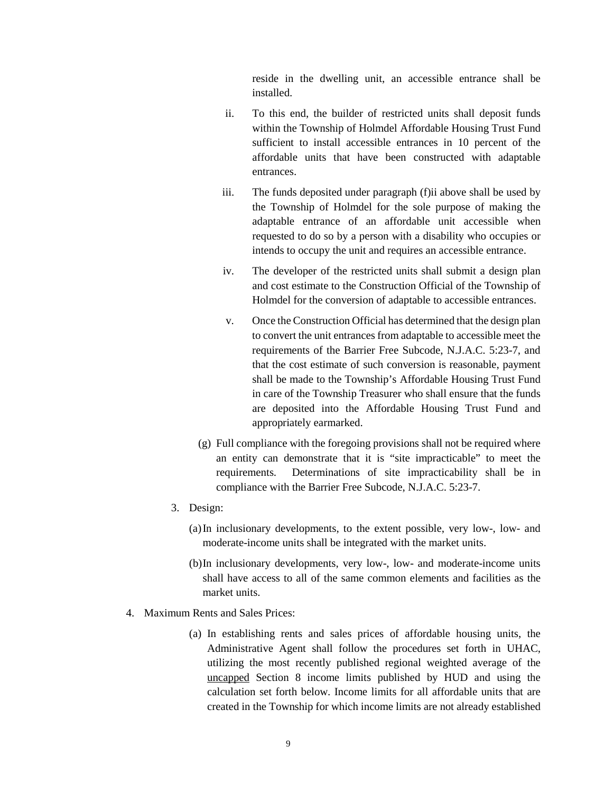reside in the dwelling unit, an accessible entrance shall be installed.

- ii. To this end, the builder of restricted units shall deposit funds within the Township of Holmdel Affordable Housing Trust Fund sufficient to install accessible entrances in 10 percent of the affordable units that have been constructed with adaptable entrances.
- iii. The funds deposited under paragraph (f)ii above shall be used by the Township of Holmdel for the sole purpose of making the adaptable entrance of an affordable unit accessible when requested to do so by a person with a disability who occupies or intends to occupy the unit and requires an accessible entrance.
- iv. The developer of the restricted units shall submit a design plan and cost estimate to the Construction Official of the Township of Holmdel for the conversion of adaptable to accessible entrances.
- v. Once the Construction Official has determined that the design plan to convert the unit entrances from adaptable to accessible meet the requirements of the Barrier Free Subcode, N.J.A.C. 5:23-7, and that the cost estimate of such conversion is reasonable, payment shall be made to the Township's Affordable Housing Trust Fund in care of the Township Treasurer who shall ensure that the funds are deposited into the Affordable Housing Trust Fund and appropriately earmarked.
- (g) Full compliance with the foregoing provisions shall not be required where an entity can demonstrate that it is "site impracticable" to meet the requirements. Determinations of site impracticability shall be in compliance with the Barrier Free Subcode, N.J.A.C. 5:23-7.
- 3. Design:
	- (a)In inclusionary developments, to the extent possible, very low-, low- and moderate-income units shall be integrated with the market units.
	- (b)In inclusionary developments, very low-, low- and moderate-income units shall have access to all of the same common elements and facilities as the market units.
- 4. Maximum Rents and Sales Prices:
	- (a) In establishing rents and sales prices of affordable housing units, the Administrative Agent shall follow the procedures set forth in UHAC, utilizing the most recently published regional weighted average of the uncapped Section 8 income limits published by HUD and using the calculation set forth below. Income limits for all affordable units that are created in the Township for which income limits are not already established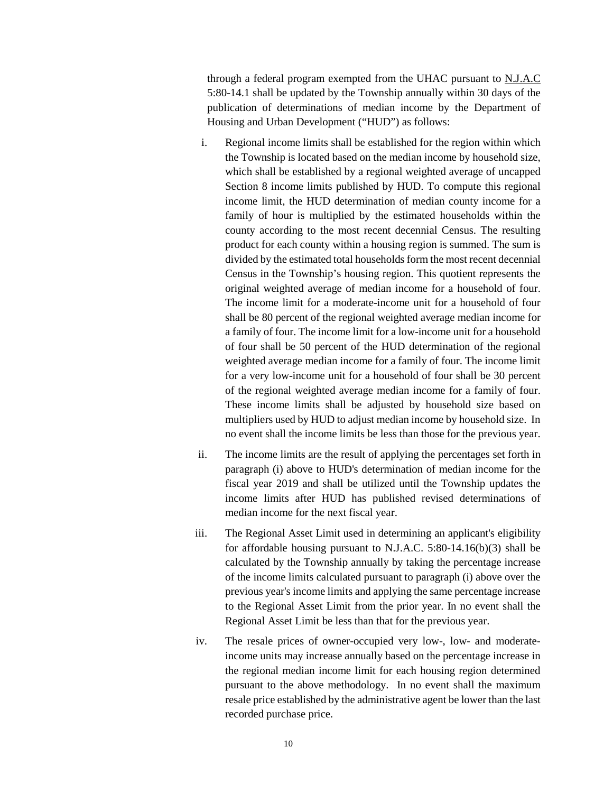through a federal program exempted from the UHAC pursuant to N.J.A.C 5:80-14.1 shall be updated by the Township annually within 30 days of the publication of determinations of median income by the Department of Housing and Urban Development ("HUD") as follows:

- i. Regional income limits shall be established for the region within which the Township is located based on the median income by household size, which shall be established by a regional weighted average of uncapped Section 8 income limits published by HUD. To compute this regional income limit, the HUD determination of median county income for a family of hour is multiplied by the estimated households within the county according to the most recent decennial Census. The resulting product for each county within a housing region is summed. The sum is divided by the estimated total households form the most recent decennial Census in the Township's housing region. This quotient represents the original weighted average of median income for a household of four. The income limit for a moderate-income unit for a household of four shall be 80 percent of the regional weighted average median income for a family of four. The income limit for a low-income unit for a household of four shall be 50 percent of the HUD determination of the regional weighted average median income for a family of four. The income limit for a very low-income unit for a household of four shall be 30 percent of the regional weighted average median income for a family of four. These income limits shall be adjusted by household size based on multipliers used by HUD to adjust median income by household size. In no event shall the income limits be less than those for the previous year.
- ii. The income limits are the result of applying the percentages set forth in paragraph (i) above to HUD's determination of median income for the fiscal year 2019 and shall be utilized until the Township updates the income limits after HUD has published revised determinations of median income for the next fiscal year.
- iii. The Regional Asset Limit used in determining an applicant's eligibility for affordable housing pursuant to N.J.A.C. 5:80-14.16(b)(3) shall be calculated by the Township annually by taking the percentage increase of the income limits calculated pursuant to paragraph (i) above over the previous year's income limits and applying the same percentage increase to the Regional Asset Limit from the prior year. In no event shall the Regional Asset Limit be less than that for the previous year.
- iv. The resale prices of owner-occupied very low-, low- and moderateincome units may increase annually based on the percentage increase in the regional median income limit for each housing region determined pursuant to the above methodology. In no event shall the maximum resale price established by the administrative agent be lower than the last recorded purchase price.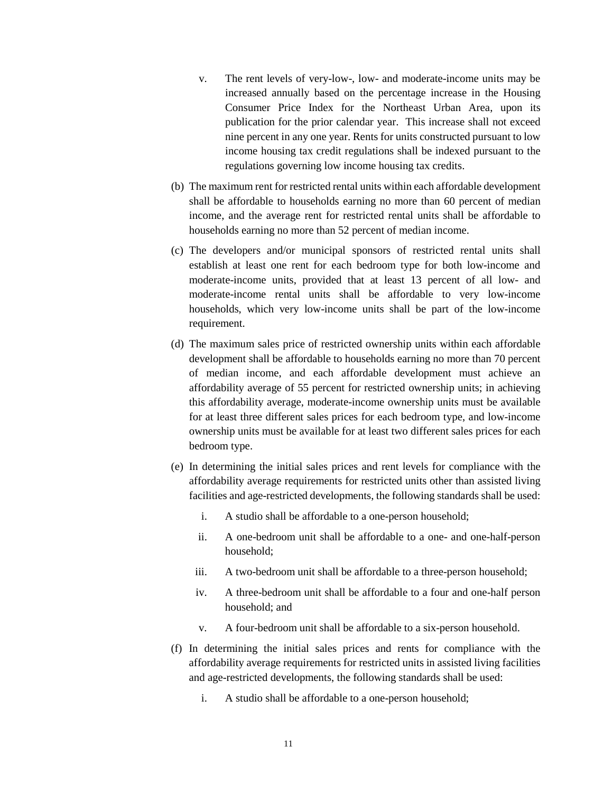- v. The rent levels of very-low-, low- and moderate-income units may be increased annually based on the percentage increase in the Housing Consumer Price Index for the Northeast Urban Area, upon its publication for the prior calendar year. This increase shall not exceed nine percent in any one year. Rents for units constructed pursuant to low income housing tax credit regulations shall be indexed pursuant to the regulations governing low income housing tax credits.
- (b) The maximum rent for restricted rental units within each affordable development shall be affordable to households earning no more than 60 percent of median income, and the average rent for restricted rental units shall be affordable to households earning no more than 52 percent of median income.
- (c) The developers and/or municipal sponsors of restricted rental units shall establish at least one rent for each bedroom type for both low-income and moderate-income units, provided that at least 13 percent of all low- and moderate-income rental units shall be affordable to very low-income households, which very low-income units shall be part of the low-income requirement.
- (d) The maximum sales price of restricted ownership units within each affordable development shall be affordable to households earning no more than 70 percent of median income, and each affordable development must achieve an affordability average of 55 percent for restricted ownership units; in achieving this affordability average, moderate-income ownership units must be available for at least three different sales prices for each bedroom type, and low-income ownership units must be available for at least two different sales prices for each bedroom type.
- (e) In determining the initial sales prices and rent levels for compliance with the affordability average requirements for restricted units other than assisted living facilities and age-restricted developments, the following standards shall be used:
	- i. A studio shall be affordable to a one-person household;
	- ii. A one-bedroom unit shall be affordable to a one- and one-half-person household;
	- iii. A two-bedroom unit shall be affordable to a three-person household;
	- iv. A three-bedroom unit shall be affordable to a four and one-half person household; and
	- v. A four-bedroom unit shall be affordable to a six-person household.
- (f) In determining the initial sales prices and rents for compliance with the affordability average requirements for restricted units in assisted living facilities and age-restricted developments, the following standards shall be used:
	- i. A studio shall be affordable to a one-person household;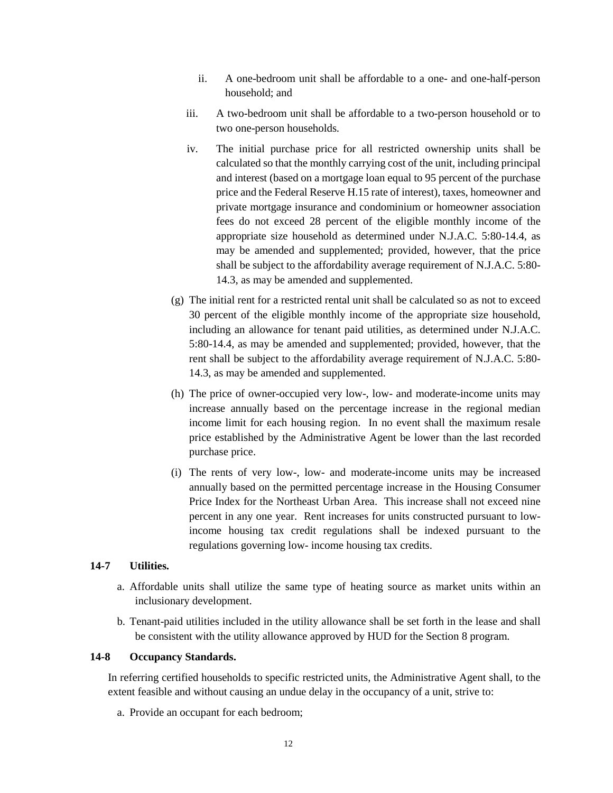- ii. A one-bedroom unit shall be affordable to a one- and one-half-person household; and
- iii. A two-bedroom unit shall be affordable to a two-person household or to two one-person households.
- iv. The initial purchase price for all restricted ownership units shall be calculated so that the monthly carrying cost of the unit, including principal and interest (based on a mortgage loan equal to 95 percent of the purchase price and the Federal Reserve H.15 rate of interest), taxes, homeowner and private mortgage insurance and condominium or homeowner association fees do not exceed 28 percent of the eligible monthly income of the appropriate size household as determined under N.J.A.C. 5:80-14.4, as may be amended and supplemented; provided, however, that the price shall be subject to the affordability average requirement of N.J.A.C. 5:80- 14.3, as may be amended and supplemented.
- (g) The initial rent for a restricted rental unit shall be calculated so as not to exceed 30 percent of the eligible monthly income of the appropriate size household, including an allowance for tenant paid utilities, as determined under N.J.A.C. 5:80-14.4, as may be amended and supplemented; provided, however, that the rent shall be subject to the affordability average requirement of N.J.A.C. 5:80- 14.3, as may be amended and supplemented.
- (h) The price of owner-occupied very low-, low- and moderate-income units may increase annually based on the percentage increase in the regional median income limit for each housing region. In no event shall the maximum resale price established by the Administrative Agent be lower than the last recorded purchase price.
- (i) The rents of very low-, low- and moderate-income units may be increased annually based on the permitted percentage increase in the Housing Consumer Price Index for the Northeast Urban Area. This increase shall not exceed nine percent in any one year. Rent increases for units constructed pursuant to lowincome housing tax credit regulations shall be indexed pursuant to the regulations governing low- income housing tax credits.

### **14-7 Utilities.**

- a. Affordable units shall utilize the same type of heating source as market units within an inclusionary development.
- b. Tenant-paid utilities included in the utility allowance shall be set forth in the lease and shall be consistent with the utility allowance approved by HUD for the Section 8 program.

### **14-8 Occupancy Standards.**

In referring certified households to specific restricted units, the Administrative Agent shall, to the extent feasible and without causing an undue delay in the occupancy of a unit, strive to:

a. Provide an occupant for each bedroom;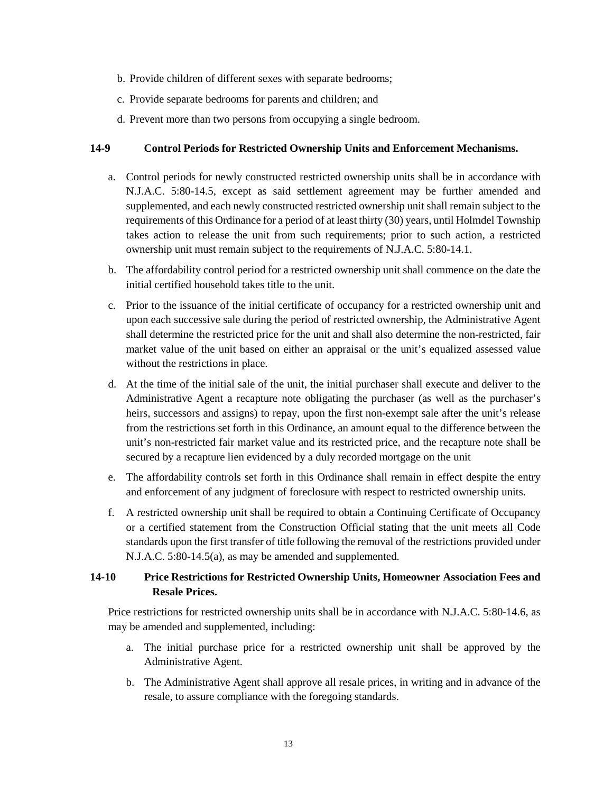- b. Provide children of different sexes with separate bedrooms;
- c. Provide separate bedrooms for parents and children; and
- d. Prevent more than two persons from occupying a single bedroom.

### **14-9 Control Periods for Restricted Ownership Units and Enforcement Mechanisms.**

- a. Control periods for newly constructed restricted ownership units shall be in accordance with N.J.A.C. 5:80-14.5, except as said settlement agreement may be further amended and supplemented, and each newly constructed restricted ownership unit shall remain subject to the requirements of this Ordinance for a period of at least thirty (30) years, until Holmdel Township takes action to release the unit from such requirements; prior to such action, a restricted ownership unit must remain subject to the requirements of N.J.A.C. 5:80-14.1.
- b. The affordability control period for a restricted ownership unit shall commence on the date the initial certified household takes title to the unit.
- c. Prior to the issuance of the initial certificate of occupancy for a restricted ownership unit and upon each successive sale during the period of restricted ownership, the Administrative Agent shall determine the restricted price for the unit and shall also determine the non-restricted, fair market value of the unit based on either an appraisal or the unit's equalized assessed value without the restrictions in place.
- d. At the time of the initial sale of the unit, the initial purchaser shall execute and deliver to the Administrative Agent a recapture note obligating the purchaser (as well as the purchaser's heirs, successors and assigns) to repay, upon the first non-exempt sale after the unit's release from the restrictions set forth in this Ordinance, an amount equal to the difference between the unit's non-restricted fair market value and its restricted price, and the recapture note shall be secured by a recapture lien evidenced by a duly recorded mortgage on the unit
- e. The affordability controls set forth in this Ordinance shall remain in effect despite the entry and enforcement of any judgment of foreclosure with respect to restricted ownership units.
- f. A restricted ownership unit shall be required to obtain a Continuing Certificate of Occupancy or a certified statement from the Construction Official stating that the unit meets all Code standards upon the first transfer of title following the removal of the restrictions provided under N.J.A.C. 5:80-14.5(a), as may be amended and supplemented.

# **14-10 Price Restrictions for Restricted Ownership Units, Homeowner Association Fees and Resale Prices.**

Price restrictions for restricted ownership units shall be in accordance with N.J.A.C. 5:80-14.6, as may be amended and supplemented, including:

- a. The initial purchase price for a restricted ownership unit shall be approved by the Administrative Agent.
- b. The Administrative Agent shall approve all resale prices, in writing and in advance of the resale, to assure compliance with the foregoing standards.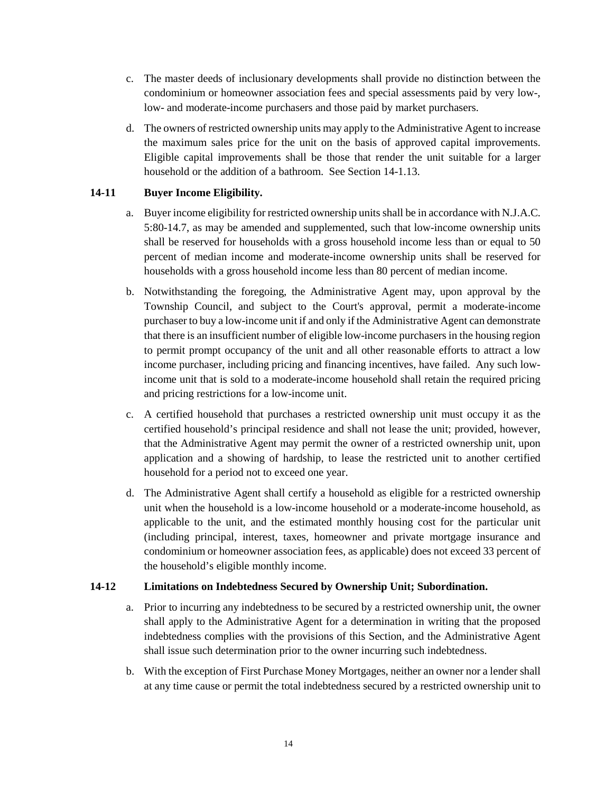- c. The master deeds of inclusionary developments shall provide no distinction between the condominium or homeowner association fees and special assessments paid by very low-, low- and moderate-income purchasers and those paid by market purchasers.
- d. The owners of restricted ownership units may apply to the Administrative Agent to increase the maximum sales price for the unit on the basis of approved capital improvements. Eligible capital improvements shall be those that render the unit suitable for a larger household or the addition of a bathroom. See Section 14-1.13.

# **14-11 Buyer Income Eligibility.**

- a. Buyer income eligibility for restricted ownership units shall be in accordance with N.J.A.C. 5:80-14.7, as may be amended and supplemented, such that low-income ownership units shall be reserved for households with a gross household income less than or equal to 50 percent of median income and moderate-income ownership units shall be reserved for households with a gross household income less than 80 percent of median income.
- b. Notwithstanding the foregoing, the Administrative Agent may, upon approval by the Township Council, and subject to the Court's approval, permit a moderate-income purchaser to buy a low-income unit if and only if the Administrative Agent can demonstrate that there is an insufficient number of eligible low-income purchasers in the housing region to permit prompt occupancy of the unit and all other reasonable efforts to attract a low income purchaser, including pricing and financing incentives, have failed. Any such lowincome unit that is sold to a moderate-income household shall retain the required pricing and pricing restrictions for a low-income unit.
- c. A certified household that purchases a restricted ownership unit must occupy it as the certified household's principal residence and shall not lease the unit; provided, however, that the Administrative Agent may permit the owner of a restricted ownership unit, upon application and a showing of hardship, to lease the restricted unit to another certified household for a period not to exceed one year.
- d. The Administrative Agent shall certify a household as eligible for a restricted ownership unit when the household is a low-income household or a moderate-income household, as applicable to the unit, and the estimated monthly housing cost for the particular unit (including principal, interest, taxes, homeowner and private mortgage insurance and condominium or homeowner association fees, as applicable) does not exceed 33 percent of the household's eligible monthly income.

## **14-12 Limitations on Indebtedness Secured by Ownership Unit; Subordination.**

- a. Prior to incurring any indebtedness to be secured by a restricted ownership unit, the owner shall apply to the Administrative Agent for a determination in writing that the proposed indebtedness complies with the provisions of this Section, and the Administrative Agent shall issue such determination prior to the owner incurring such indebtedness.
- b. With the exception of First Purchase Money Mortgages, neither an owner nor a lender shall at any time cause or permit the total indebtedness secured by a restricted ownership unit to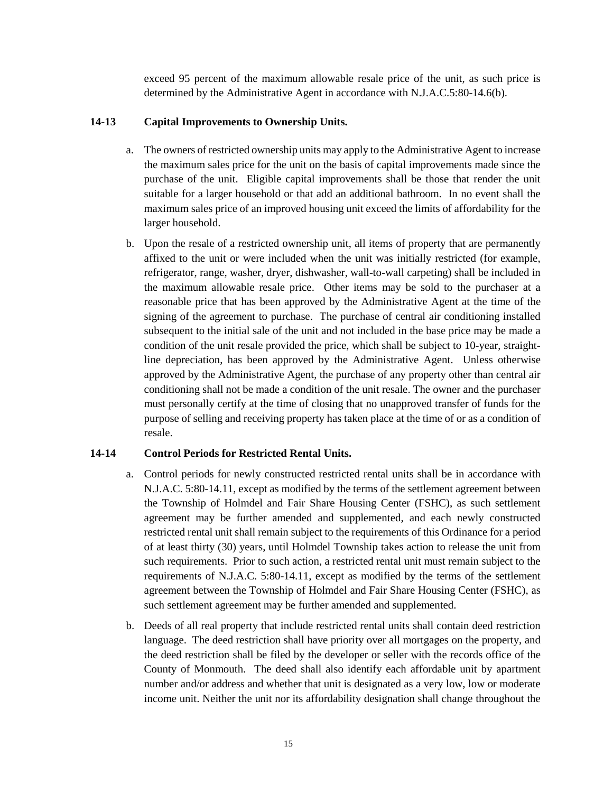exceed 95 percent of the maximum allowable resale price of the unit, as such price is determined by the Administrative Agent in accordance with N.J.A.C.5:80-14.6(b).

## **14-13 Capital Improvements to Ownership Units.**

- a. The owners of restricted ownership units may apply to the Administrative Agent to increase the maximum sales price for the unit on the basis of capital improvements made since the purchase of the unit. Eligible capital improvements shall be those that render the unit suitable for a larger household or that add an additional bathroom. In no event shall the maximum sales price of an improved housing unit exceed the limits of affordability for the larger household.
- b. Upon the resale of a restricted ownership unit, all items of property that are permanently affixed to the unit or were included when the unit was initially restricted (for example, refrigerator, range, washer, dryer, dishwasher, wall-to-wall carpeting) shall be included in the maximum allowable resale price. Other items may be sold to the purchaser at a reasonable price that has been approved by the Administrative Agent at the time of the signing of the agreement to purchase. The purchase of central air conditioning installed subsequent to the initial sale of the unit and not included in the base price may be made a condition of the unit resale provided the price, which shall be subject to 10-year, straightline depreciation, has been approved by the Administrative Agent. Unless otherwise approved by the Administrative Agent, the purchase of any property other than central air conditioning shall not be made a condition of the unit resale. The owner and the purchaser must personally certify at the time of closing that no unapproved transfer of funds for the purpose of selling and receiving property has taken place at the time of or as a condition of resale.

## **14-14 Control Periods for Restricted Rental Units.**

- a. Control periods for newly constructed restricted rental units shall be in accordance with N.J.A.C. 5:80-14.11, except as modified by the terms of the settlement agreement between the Township of Holmdel and Fair Share Housing Center (FSHC), as such settlement agreement may be further amended and supplemented, and each newly constructed restricted rental unit shall remain subject to the requirements of this Ordinance for a period of at least thirty (30) years, until Holmdel Township takes action to release the unit from such requirements. Prior to such action, a restricted rental unit must remain subject to the requirements of N.J.A.C. 5:80-14.11, except as modified by the terms of the settlement agreement between the Township of Holmdel and Fair Share Housing Center (FSHC), as such settlement agreement may be further amended and supplemented.
- b. Deeds of all real property that include restricted rental units shall contain deed restriction language. The deed restriction shall have priority over all mortgages on the property, and the deed restriction shall be filed by the developer or seller with the records office of the County of Monmouth. The deed shall also identify each affordable unit by apartment number and/or address and whether that unit is designated as a very low, low or moderate income unit. Neither the unit nor its affordability designation shall change throughout the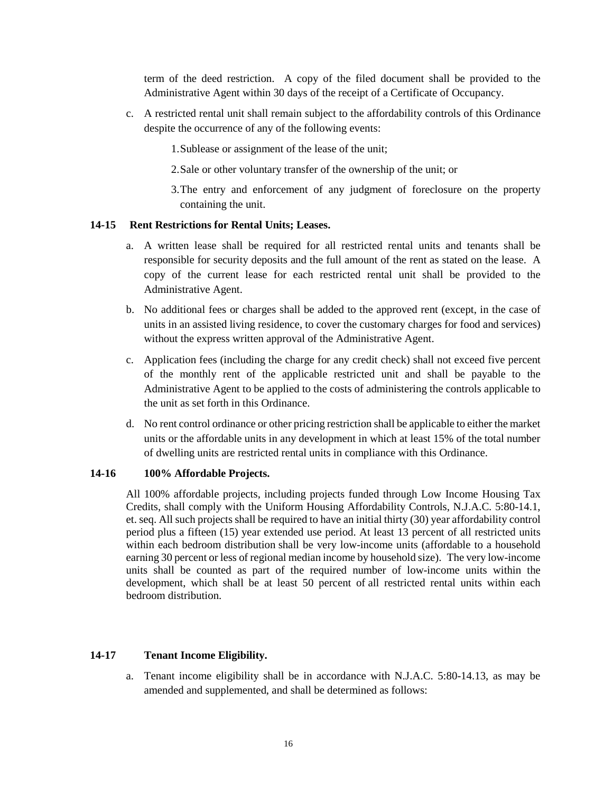term of the deed restriction. A copy of the filed document shall be provided to the Administrative Agent within 30 days of the receipt of a Certificate of Occupancy.

c. A restricted rental unit shall remain subject to the affordability controls of this Ordinance despite the occurrence of any of the following events:

1.Sublease or assignment of the lease of the unit;

- 2.Sale or other voluntary transfer of the ownership of the unit; or
- 3.The entry and enforcement of any judgment of foreclosure on the property containing the unit.

### **14-15 Rent Restrictions for Rental Units; Leases.**

- a. A written lease shall be required for all restricted rental units and tenants shall be responsible for security deposits and the full amount of the rent as stated on the lease. A copy of the current lease for each restricted rental unit shall be provided to the Administrative Agent.
- b. No additional fees or charges shall be added to the approved rent (except, in the case of units in an assisted living residence, to cover the customary charges for food and services) without the express written approval of the Administrative Agent.
- c. Application fees (including the charge for any credit check) shall not exceed five percent of the monthly rent of the applicable restricted unit and shall be payable to the Administrative Agent to be applied to the costs of administering the controls applicable to the unit as set forth in this Ordinance.
- d. No rent control ordinance or other pricing restriction shall be applicable to either the market units or the affordable units in any development in which at least 15% of the total number of dwelling units are restricted rental units in compliance with this Ordinance.

### **14-16 100% Affordable Projects.**

All 100% affordable projects, including projects funded through Low Income Housing Tax Credits, shall comply with the Uniform Housing Affordability Controls, N.J.A.C. 5:80-14.1, et. seq. All such projects shall be required to have an initial thirty (30) year affordability control period plus a fifteen (15) year extended use period. At least 13 percent of all restricted units within each bedroom distribution shall be very low-income units (affordable to a household earning 30 percent or less of regional median income by household size). The very low-income units shall be counted as part of the required number of low-income units within the development, which shall be at least 50 percent of all restricted rental units within each bedroom distribution.

### **14-17 Tenant Income Eligibility.**

a. Tenant income eligibility shall be in accordance with N.J.A.C. 5:80-14.13, as may be amended and supplemented, and shall be determined as follows: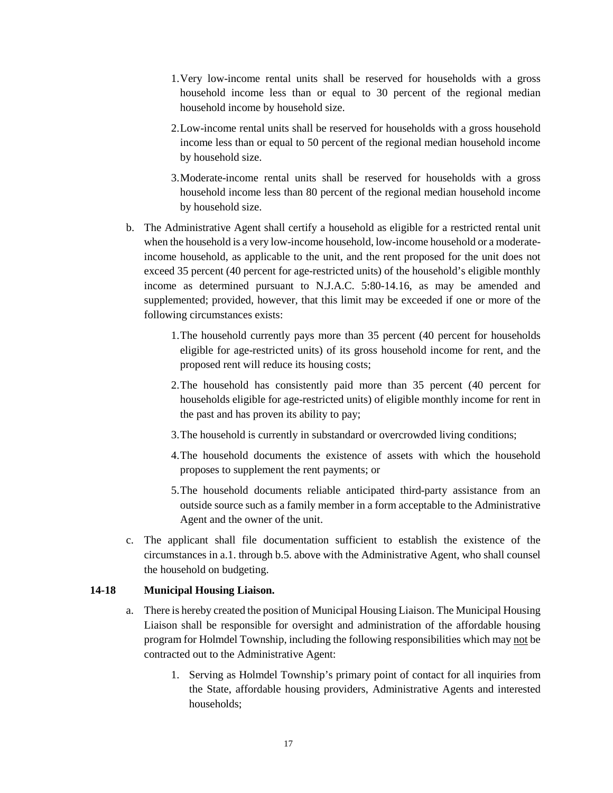- 1.Very low-income rental units shall be reserved for households with a gross household income less than or equal to 30 percent of the regional median household income by household size.
- 2.Low-income rental units shall be reserved for households with a gross household income less than or equal to 50 percent of the regional median household income by household size.
- 3.Moderate-income rental units shall be reserved for households with a gross household income less than 80 percent of the regional median household income by household size.
- b. The Administrative Agent shall certify a household as eligible for a restricted rental unit when the household is a very low-income household, low-income household or a moderateincome household, as applicable to the unit, and the rent proposed for the unit does not exceed 35 percent (40 percent for age-restricted units) of the household's eligible monthly income as determined pursuant to N.J.A.C. 5:80-14.16, as may be amended and supplemented; provided, however, that this limit may be exceeded if one or more of the following circumstances exists:
	- 1.The household currently pays more than 35 percent (40 percent for households eligible for age-restricted units) of its gross household income for rent, and the proposed rent will reduce its housing costs;
	- 2.The household has consistently paid more than 35 percent (40 percent for households eligible for age-restricted units) of eligible monthly income for rent in the past and has proven its ability to pay;
	- 3.The household is currently in substandard or overcrowded living conditions;
	- 4.The household documents the existence of assets with which the household proposes to supplement the rent payments; or
	- 5.The household documents reliable anticipated third-party assistance from an outside source such as a family member in a form acceptable to the Administrative Agent and the owner of the unit.
- c. The applicant shall file documentation sufficient to establish the existence of the circumstances in a.1. through b.5. above with the Administrative Agent, who shall counsel the household on budgeting.

## **14-18 Municipal Housing Liaison.**

- a. There is hereby created the position of Municipal Housing Liaison. The Municipal Housing Liaison shall be responsible for oversight and administration of the affordable housing program for Holmdel Township, including the following responsibilities which may not be contracted out to the Administrative Agent:
	- 1. Serving as Holmdel Township's primary point of contact for all inquiries from the State, affordable housing providers, Administrative Agents and interested households;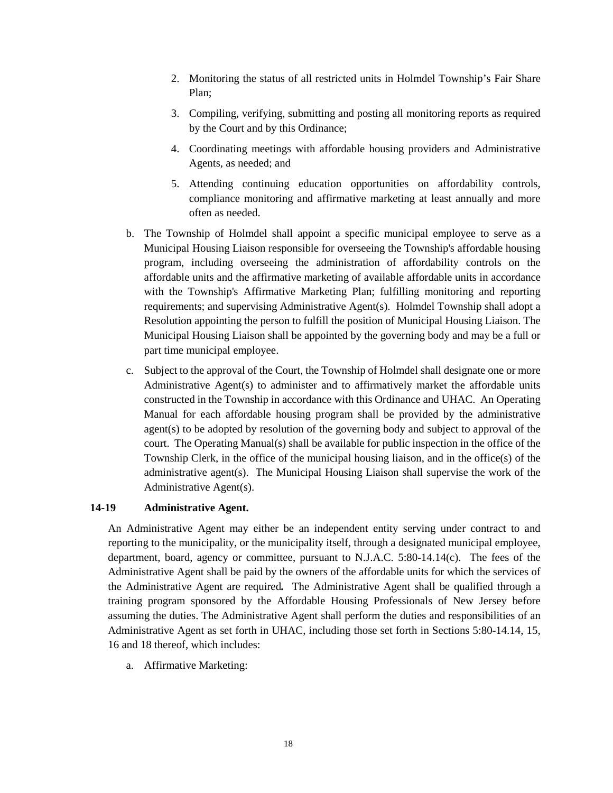- 2. Monitoring the status of all restricted units in Holmdel Township's Fair Share Plan;
- 3. Compiling, verifying, submitting and posting all monitoring reports as required by the Court and by this Ordinance;
- 4. Coordinating meetings with affordable housing providers and Administrative Agents, as needed; and
- 5. Attending continuing education opportunities on affordability controls, compliance monitoring and affirmative marketing at least annually and more often as needed.
- b. The Township of Holmdel shall appoint a specific municipal employee to serve as a Municipal Housing Liaison responsible for overseeing the Township's affordable housing program, including overseeing the administration of affordability controls on the affordable units and the affirmative marketing of available affordable units in accordance with the Township's Affirmative Marketing Plan; fulfilling monitoring and reporting requirements; and supervising Administrative Agent(s). Holmdel Township shall adopt a Resolution appointing the person to fulfill the position of Municipal Housing Liaison. The Municipal Housing Liaison shall be appointed by the governing body and may be a full or part time municipal employee.
- c. Subject to the approval of the Court, the Township of Holmdel shall designate one or more Administrative Agent(s) to administer and to affirmatively market the affordable units constructed in the Township in accordance with this Ordinance and UHAC. An Operating Manual for each affordable housing program shall be provided by the administrative agent(s) to be adopted by resolution of the governing body and subject to approval of the court. The Operating Manual(s) shall be available for public inspection in the office of the Township Clerk, in the office of the municipal housing liaison, and in the office(s) of the administrative agent(s). The Municipal Housing Liaison shall supervise the work of the Administrative Agent(s).

### **14-19 Administrative Agent.**

An Administrative Agent may either be an independent entity serving under contract to and reporting to the municipality, or the municipality itself, through a designated municipal employee, department, board, agency or committee, pursuant to N.J.A.C. 5:80-14.14(c). The fees of the Administrative Agent shall be paid by the owners of the affordable units for which the services of the Administrative Agent are required*.* The Administrative Agent shall be qualified through a training program sponsored by the Affordable Housing Professionals of New Jersey before assuming the duties. The Administrative Agent shall perform the duties and responsibilities of an Administrative Agent as set forth in UHAC, including those set forth in Sections 5:80-14.14, 15, 16 and 18 thereof, which includes:

a. Affirmative Marketing: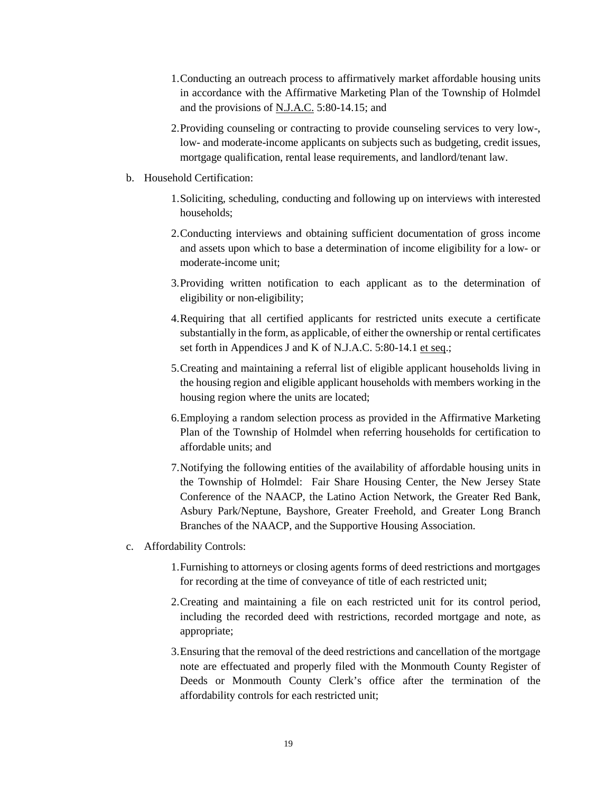- 1.Conducting an outreach process to affirmatively market affordable housing units in accordance with the Affirmative Marketing Plan of the Township of Holmdel and the provisions of N.J.A.C. 5:80-14.15; and
- 2.Providing counseling or contracting to provide counseling services to very low-, low- and moderate-income applicants on subjects such as budgeting, credit issues, mortgage qualification, rental lease requirements, and landlord/tenant law.
- b. Household Certification:
	- 1.Soliciting, scheduling, conducting and following up on interviews with interested households;
	- 2.Conducting interviews and obtaining sufficient documentation of gross income and assets upon which to base a determination of income eligibility for a low- or moderate-income unit;
	- 3.Providing written notification to each applicant as to the determination of eligibility or non-eligibility;
	- 4.Requiring that all certified applicants for restricted units execute a certificate substantially in the form, as applicable, of either the ownership or rental certificates set forth in Appendices J and K of N.J.A.C. 5:80-14.1 et seq.;
	- 5.Creating and maintaining a referral list of eligible applicant households living in the housing region and eligible applicant households with members working in the housing region where the units are located;
	- 6.Employing a random selection process as provided in the Affirmative Marketing Plan of the Township of Holmdel when referring households for certification to affordable units; and
	- 7.Notifying the following entities of the availability of affordable housing units in the Township of Holmdel: Fair Share Housing Center, the New Jersey State Conference of the NAACP, the Latino Action Network, the Greater Red Bank, Asbury Park/Neptune, Bayshore, Greater Freehold, and Greater Long Branch Branches of the NAACP, and the Supportive Housing Association.
- c. Affordability Controls:
	- 1.Furnishing to attorneys or closing agents forms of deed restrictions and mortgages for recording at the time of conveyance of title of each restricted unit;
	- 2.Creating and maintaining a file on each restricted unit for its control period, including the recorded deed with restrictions, recorded mortgage and note, as appropriate;
	- 3.Ensuring that the removal of the deed restrictions and cancellation of the mortgage note are effectuated and properly filed with the Monmouth County Register of Deeds or Monmouth County Clerk's office after the termination of the affordability controls for each restricted unit;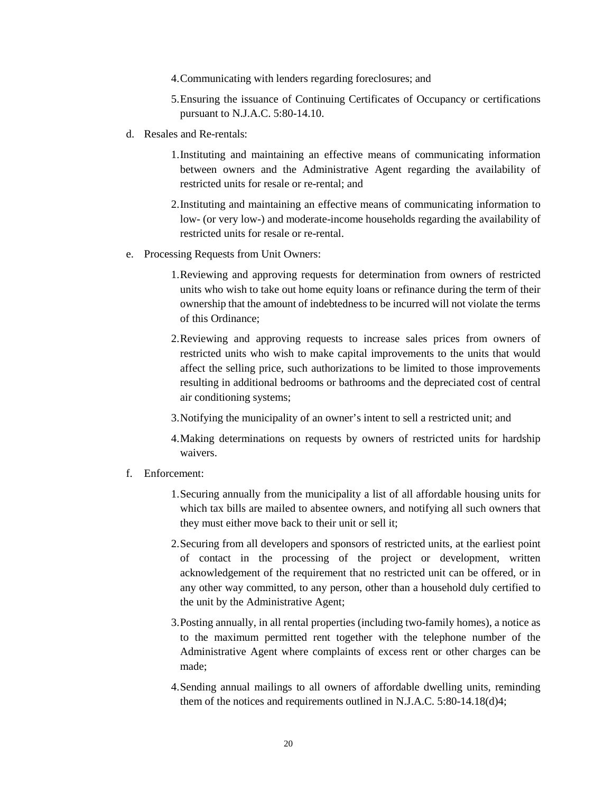- 4.Communicating with lenders regarding foreclosures; and
- 5.Ensuring the issuance of Continuing Certificates of Occupancy or certifications pursuant to N.J.A.C. 5:80-14.10.
- d. Resales and Re-rentals:
	- 1.Instituting and maintaining an effective means of communicating information between owners and the Administrative Agent regarding the availability of restricted units for resale or re-rental; and
	- 2.Instituting and maintaining an effective means of communicating information to low- (or very low-) and moderate-income households regarding the availability of restricted units for resale or re-rental.
- e. Processing Requests from Unit Owners:
	- 1.Reviewing and approving requests for determination from owners of restricted units who wish to take out home equity loans or refinance during the term of their ownership that the amount of indebtedness to be incurred will not violate the terms of this Ordinance;
	- 2.Reviewing and approving requests to increase sales prices from owners of restricted units who wish to make capital improvements to the units that would affect the selling price, such authorizations to be limited to those improvements resulting in additional bedrooms or bathrooms and the depreciated cost of central air conditioning systems;
	- 3.Notifying the municipality of an owner's intent to sell a restricted unit; and
	- 4.Making determinations on requests by owners of restricted units for hardship waivers.
- f. Enforcement:
	- 1.Securing annually from the municipality a list of all affordable housing units for which tax bills are mailed to absentee owners, and notifying all such owners that they must either move back to their unit or sell it;
	- 2.Securing from all developers and sponsors of restricted units, at the earliest point of contact in the processing of the project or development, written acknowledgement of the requirement that no restricted unit can be offered, or in any other way committed, to any person, other than a household duly certified to the unit by the Administrative Agent;
	- 3.Posting annually, in all rental properties (including two-family homes), a notice as to the maximum permitted rent together with the telephone number of the Administrative Agent where complaints of excess rent or other charges can be made;
	- 4.Sending annual mailings to all owners of affordable dwelling units, reminding them of the notices and requirements outlined in N.J.A.C. 5:80-14.18(d)4;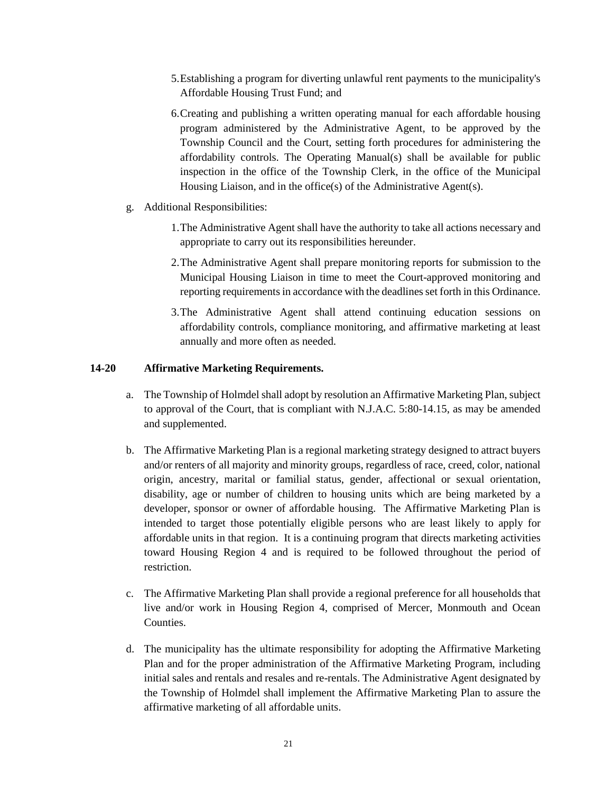- 5.Establishing a program for diverting unlawful rent payments to the municipality's Affordable Housing Trust Fund; and
- 6.Creating and publishing a written operating manual for each affordable housing program administered by the Administrative Agent, to be approved by the Township Council and the Court, setting forth procedures for administering the affordability controls. The Operating Manual(s) shall be available for public inspection in the office of the Township Clerk, in the office of the Municipal Housing Liaison, and in the office(s) of the Administrative Agent(s).
- g. Additional Responsibilities:
	- 1.The Administrative Agent shall have the authority to take all actions necessary and appropriate to carry out its responsibilities hereunder.
	- 2.The Administrative Agent shall prepare monitoring reports for submission to the Municipal Housing Liaison in time to meet the Court-approved monitoring and reporting requirements in accordance with the deadlines set forth in this Ordinance.
	- 3.The Administrative Agent shall attend continuing education sessions on affordability controls, compliance monitoring, and affirmative marketing at least annually and more often as needed.

### **14-20 Affirmative Marketing Requirements.**

- a. The Township of Holmdel shall adopt by resolution an Affirmative Marketing Plan, subject to approval of the Court, that is compliant with N.J.A.C. 5:80-14.15, as may be amended and supplemented.
- b. The Affirmative Marketing Plan is a regional marketing strategy designed to attract buyers and/or renters of all majority and minority groups, regardless of race, creed, color, national origin, ancestry, marital or familial status, gender, affectional or sexual orientation, disability, age or number of children to housing units which are being marketed by a developer, sponsor or owner of affordable housing. The Affirmative Marketing Plan is intended to target those potentially eligible persons who are least likely to apply for affordable units in that region. It is a continuing program that directs marketing activities toward Housing Region 4 and is required to be followed throughout the period of restriction.
- c. The Affirmative Marketing Plan shall provide a regional preference for all households that live and/or work in Housing Region 4, comprised of Mercer, Monmouth and Ocean Counties.
- d. The municipality has the ultimate responsibility for adopting the Affirmative Marketing Plan and for the proper administration of the Affirmative Marketing Program, including initial sales and rentals and resales and re-rentals. The Administrative Agent designated by the Township of Holmdel shall implement the Affirmative Marketing Plan to assure the affirmative marketing of all affordable units.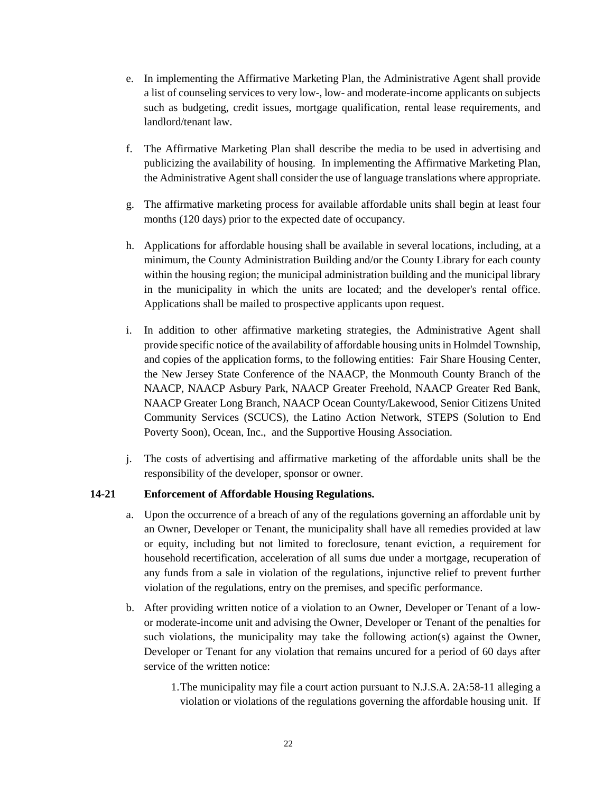- e. In implementing the Affirmative Marketing Plan, the Administrative Agent shall provide a list of counseling services to very low-, low- and moderate-income applicants on subjects such as budgeting, credit issues, mortgage qualification, rental lease requirements, and landlord/tenant law.
- f. The Affirmative Marketing Plan shall describe the media to be used in advertising and publicizing the availability of housing. In implementing the Affirmative Marketing Plan, the Administrative Agent shall consider the use of language translations where appropriate.
- g. The affirmative marketing process for available affordable units shall begin at least four months (120 days) prior to the expected date of occupancy.
- h. Applications for affordable housing shall be available in several locations, including, at a minimum, the County Administration Building and/or the County Library for each county within the housing region; the municipal administration building and the municipal library in the municipality in which the units are located; and the developer's rental office. Applications shall be mailed to prospective applicants upon request.
- i. In addition to other affirmative marketing strategies, the Administrative Agent shall provide specific notice of the availability of affordable housing units in Holmdel Township, and copies of the application forms, to the following entities: Fair Share Housing Center, the New Jersey State Conference of the NAACP, the Monmouth County Branch of the NAACP, NAACP Asbury Park, NAACP Greater Freehold, NAACP Greater Red Bank, NAACP Greater Long Branch, NAACP Ocean County/Lakewood, Senior Citizens United Community Services (SCUCS), the Latino Action Network, STEPS (Solution to End Poverty Soon), Ocean, Inc., and the Supportive Housing Association.
- j. The costs of advertising and affirmative marketing of the affordable units shall be the responsibility of the developer, sponsor or owner.

### **14-21 Enforcement of Affordable Housing Regulations.**

- a. Upon the occurrence of a breach of any of the regulations governing an affordable unit by an Owner, Developer or Tenant, the municipality shall have all remedies provided at law or equity, including but not limited to foreclosure, tenant eviction, a requirement for household recertification, acceleration of all sums due under a mortgage, recuperation of any funds from a sale in violation of the regulations, injunctive relief to prevent further violation of the regulations, entry on the premises, and specific performance.
- b. After providing written notice of a violation to an Owner, Developer or Tenant of a lowor moderate-income unit and advising the Owner, Developer or Tenant of the penalties for such violations, the municipality may take the following action(s) against the Owner, Developer or Tenant for any violation that remains uncured for a period of 60 days after service of the written notice:
	- 1.The municipality may file a court action pursuant to N.J.S.A. 2A:58-11 alleging a violation or violations of the regulations governing the affordable housing unit. If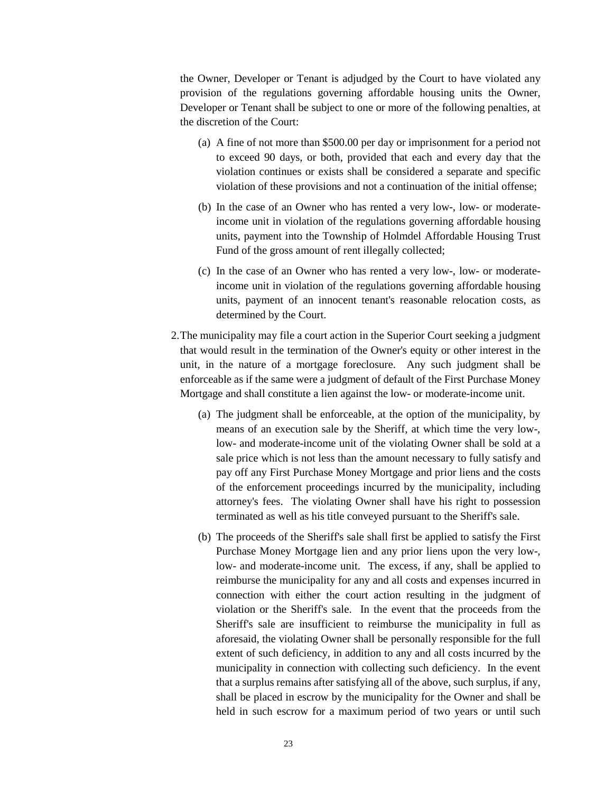the Owner, Developer or Tenant is adjudged by the Court to have violated any provision of the regulations governing affordable housing units the Owner, Developer or Tenant shall be subject to one or more of the following penalties, at the discretion of the Court:

- (a) A fine of not more than \$500.00 per day or imprisonment for a period not to exceed 90 days, or both, provided that each and every day that the violation continues or exists shall be considered a separate and specific violation of these provisions and not a continuation of the initial offense;
- (b) In the case of an Owner who has rented a very low-, low- or moderateincome unit in violation of the regulations governing affordable housing units, payment into the Township of Holmdel Affordable Housing Trust Fund of the gross amount of rent illegally collected;
- (c) In the case of an Owner who has rented a very low-, low- or moderateincome unit in violation of the regulations governing affordable housing units, payment of an innocent tenant's reasonable relocation costs, as determined by the Court.
- 2.The municipality may file a court action in the Superior Court seeking a judgment that would result in the termination of the Owner's equity or other interest in the unit, in the nature of a mortgage foreclosure. Any such judgment shall be enforceable as if the same were a judgment of default of the First Purchase Money Mortgage and shall constitute a lien against the low- or moderate-income unit.
	- (a) The judgment shall be enforceable, at the option of the municipality, by means of an execution sale by the Sheriff, at which time the very low-, low- and moderate-income unit of the violating Owner shall be sold at a sale price which is not less than the amount necessary to fully satisfy and pay off any First Purchase Money Mortgage and prior liens and the costs of the enforcement proceedings incurred by the municipality, including attorney's fees. The violating Owner shall have his right to possession terminated as well as his title conveyed pursuant to the Sheriff's sale.
	- (b) The proceeds of the Sheriff's sale shall first be applied to satisfy the First Purchase Money Mortgage lien and any prior liens upon the very low-, low- and moderate-income unit. The excess, if any, shall be applied to reimburse the municipality for any and all costs and expenses incurred in connection with either the court action resulting in the judgment of violation or the Sheriff's sale. In the event that the proceeds from the Sheriff's sale are insufficient to reimburse the municipality in full as aforesaid, the violating Owner shall be personally responsible for the full extent of such deficiency, in addition to any and all costs incurred by the municipality in connection with collecting such deficiency. In the event that a surplus remains after satisfying all of the above, such surplus, if any, shall be placed in escrow by the municipality for the Owner and shall be held in such escrow for a maximum period of two years or until such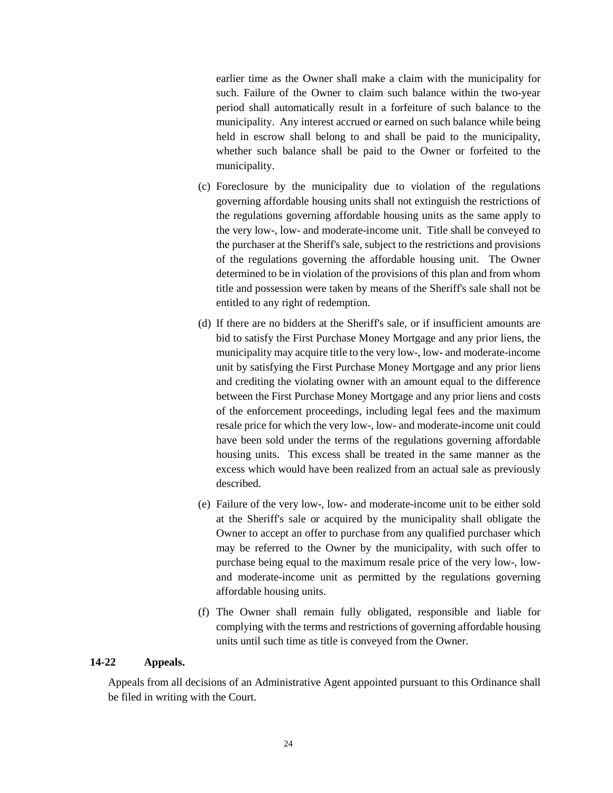earlier time as the Owner shall make a claim with the municipality for such. Failure of the Owner to claim such balance within the two-year period shall automatically result in a forfeiture of such balance to the municipality. Any interest accrued or earned on such balance while being held in escrow shall belong to and shall be paid to the municipality, whether such balance shall be paid to the Owner or forfeited to the municipality.

- (c) Foreclosure by the municipality due to violation of the regulations governing affordable housing units shall not extinguish the restrictions of the regulations governing affordable housing units as the same apply to the very low-, low- and moderate-income unit. Title shall be conveyed to the purchaser at the Sheriff's sale, subject to the restrictions and provisions of the regulations governing the affordable housing unit. The Owner determined to be in violation of the provisions of this plan and from whom title and possession were taken by means of the Sheriff's sale shall not be entitled to any right of redemption.
- (d) If there are no bidders at the Sheriff's sale, or if insufficient amounts are bid to satisfy the First Purchase Money Mortgage and any prior liens, the municipality may acquire title to the very low-, low- and moderate-income unit by satisfying the First Purchase Money Mortgage and any prior liens and crediting the violating owner with an amount equal to the difference between the First Purchase Money Mortgage and any prior liens and costs of the enforcement proceedings, including legal fees and the maximum resale price for which the very low-, low- and moderate-income unit could have been sold under the terms of the regulations governing affordable housing units. This excess shall be treated in the same manner as the excess which would have been realized from an actual sale as previously described.
- (e) Failure of the very low-, low- and moderate-income unit to be either sold at the Sheriff's sale or acquired by the municipality shall obligate the Owner to accept an offer to purchase from any qualified purchaser which may be referred to the Owner by the municipality, with such offer to purchase being equal to the maximum resale price of the very low-, lowand moderate-income unit as permitted by the regulations governing affordable housing units.
- (f) The Owner shall remain fully obligated, responsible and liable for complying with the terms and restrictions of governing affordable housing units until such time as title is conveyed from the Owner.

### **14-22 Appeals.**

Appeals from all decisions of an Administrative Agent appointed pursuant to this Ordinance shall be filed in writing with the Court.